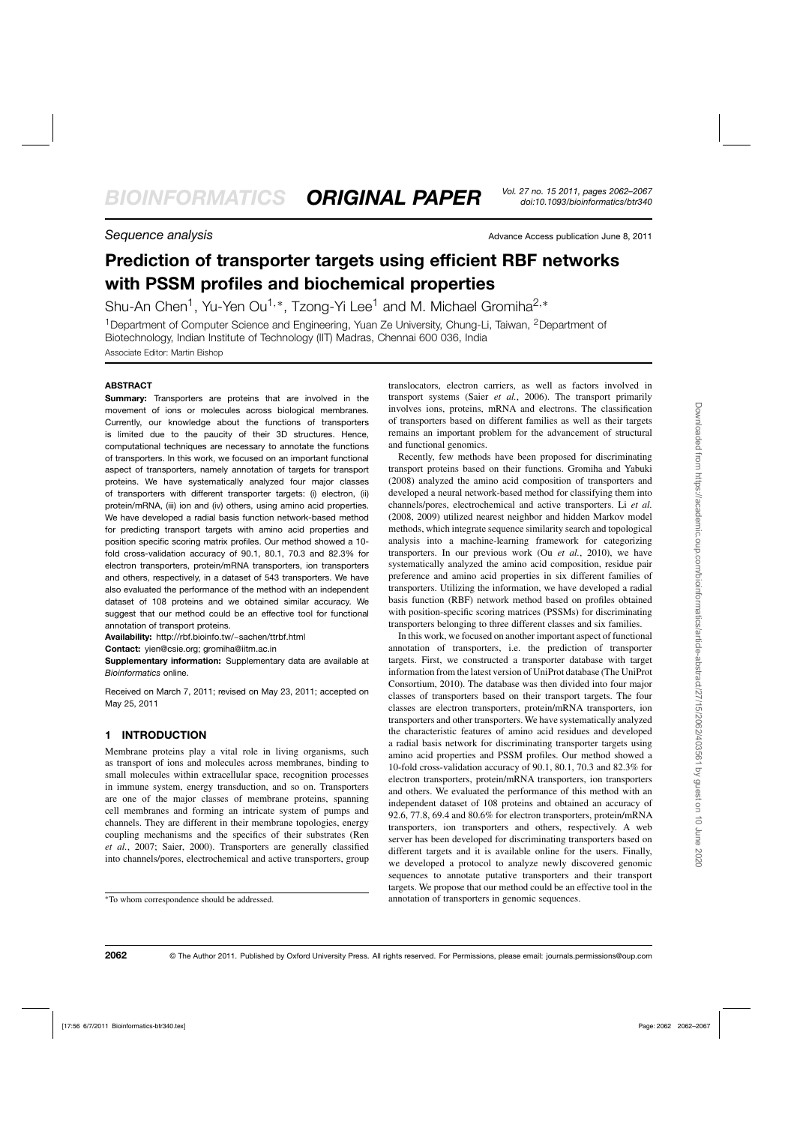**Sequence analysis Sequence analysis** Advance Access publication June 8, 2011

# **Prediction of transporter targets using efficient RBF networks with PSSM profiles and biochemical properties**

Shu-An Chen<sup>1</sup>, Yu-Yen Ou<sup>1,\*</sup>, Tzong-Yi Lee<sup>1</sup> and M. Michael Gromiha<sup>2,\*</sup>

<sup>1</sup> Department of Computer Science and Engineering, Yuan Ze University, Chung-Li, Taiwan, <sup>2</sup> Department of Biotechnology, Indian Institute of Technology (IIT) Madras, Chennai 600 036, India Associate Editor: Martin Bishop

# **ABSTRACT**

**Summary:** Transporters are proteins that are involved in the movement of ions or molecules across biological membranes. Currently, our knowledge about the functions of transporters is limited due to the paucity of their 3D structures. Hence, computational techniques are necessary to annotate the functions of transporters. In this work, we focused on an important functional aspect of transporters, namely annotation of targets for transport proteins. We have systematically analyzed four major classes of transporters with different transporter targets: (i) electron, (ii) protein/mRNA, (iii) ion and (iv) others, using amino acid properties. We have developed a radial basis function network-based method for predicting transport targets with amino acid properties and position specific scoring matrix profiles. Our method showed a 10 fold cross-validation accuracy of 90.1, 80.1, 70.3 and 82.3% for electron transporters, protein/mRNA transporters, ion transporters and others, respectively, in a dataset of 543 transporters. We have also evaluated the performance of the method with an independent dataset of 108 proteins and we obtained similar accuracy. We suggest that our method could be an effective tool for functional annotation of transport proteins.

**Availability:** http://rbf.bioinfo.tw/~sachen/ttrbf.html

**Contact:** yien@csie.org; gromiha@iitm.ac.in

**Supplementary information:** Supplementary data are available at *Bioinformatics* online.

Received on March 7, 2011; revised on May 23, 2011; accepted on May 25, 2011

# **1 INTRODUCTION**

Membrane proteins play a vital role in living organisms, such as transport of ions and molecules across membranes, binding to small molecules within extracellular space, recognition processes in immune system, energy transduction, and so on. Transporters are one of the major classes of membrane proteins, spanning cell membranes and forming an intricate system of pumps and channels. They are different in their membrane topologies, energy coupling mechanisms and the specifics of their substrates (Ren *et al.*, 2007; Saier, 2000). Transporters are generally classified into channels/pores, electrochemical and active transporters, group

translocators, electron carriers, as well as factors involved in transport systems (Saier *et al.*, 2006). The transport primarily involves ions, proteins, mRNA and electrons. The classification of transporters based on different families as well as their targets remains an important problem for the advancement of structural and functional genomics.

Recently, few methods have been proposed for discriminating transport proteins based on their functions. Gromiha and Yabuki (2008) analyzed the amino acid composition of transporters and developed a neural network-based method for classifying them into channels/pores, electrochemical and active transporters. Li *et al.* (2008, 2009) utilized nearest neighbor and hidden Markov model methods, which integrate sequence similarity search and topological analysis into a machine-learning framework for categorizing transporters. In our previous work (Ou *et al.*, 2010), we have systematically analyzed the amino acid composition, residue pair preference and amino acid properties in six different families of transporters. Utilizing the information, we have developed a radial basis function (RBF) network method based on profiles obtained with position-specific scoring matrices (PSSMs) for discriminating transporters belonging to three different classes and six families.

In this work, we focused on another important aspect of functional annotation of transporters, i.e. the prediction of transporter targets. First, we constructed a transporter database with target information from the latest version of UniProt database (The UniProt Consortium, 2010). The database was then divided into four major classes of transporters based on their transport targets. The four classes are electron transporters, protein/mRNA transporters, ion transporters and other transporters. We have systematically analyzed the characteristic features of amino acid residues and developed a radial basis network for discriminating transporter targets using amino acid properties and PSSM profiles. Our method showed a 10-fold cross-validation accuracy of 90.1, 80.1, 70.3 and 82.3% for electron transporters, protein/mRNA transporters, ion transporters and others. We evaluated the performance of this method with an independent dataset of 108 proteins and obtained an accuracy of 92.6, 77.8, 69.4 and 80.6% for electron transporters, protein/mRNA transporters, ion transporters and others, respectively. A web server has been developed for discriminating transporters based on different targets and it is available online for the users. Finally, we developed a protocol to analyze newly discovered genomic sequences to annotate putative transporters and their transport targets. We propose that our method could be an effective tool in the annotation of transporters in genomic sequences.

<sup>∗</sup>To whom correspondence should be addressed.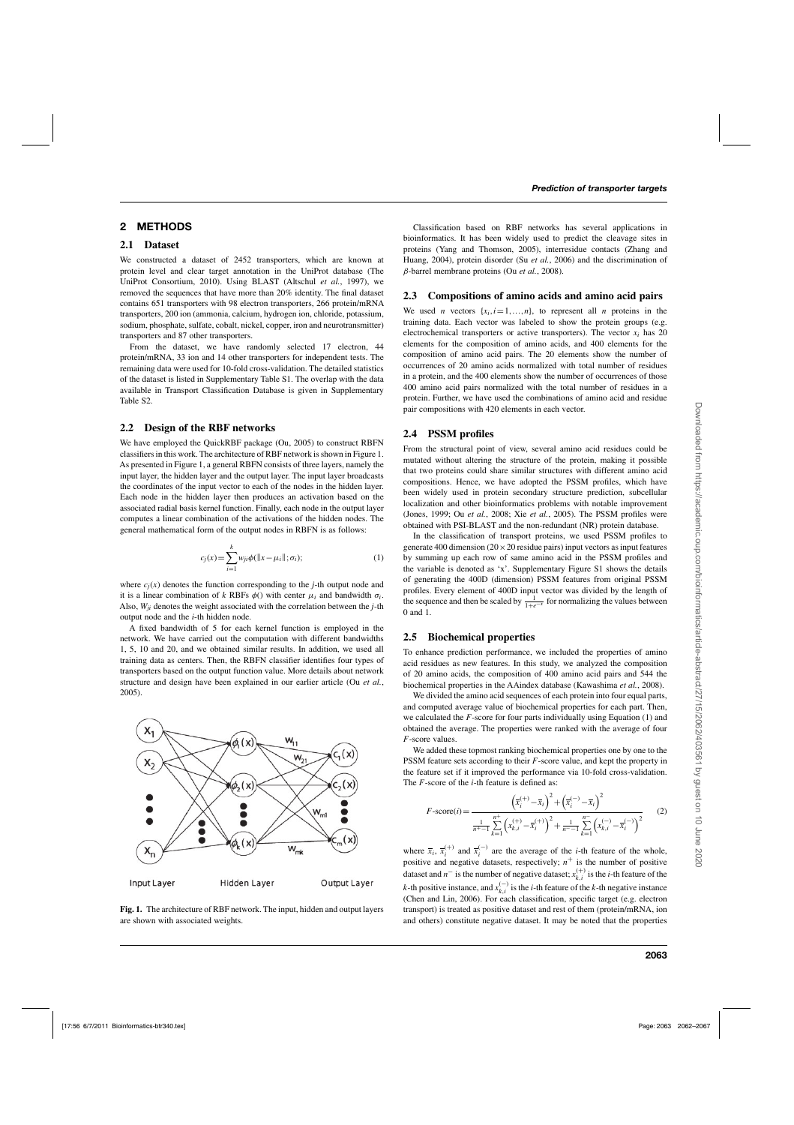# **2 METHODS**

### **2.1 Dataset**

We constructed a dataset of 2452 transporters, which are known at protein level and clear target annotation in the UniProt database (The UniProt Consortium, 2010). Using BLAST (Altschul *et al.*, 1997), we removed the sequences that have more than 20% identity. The final dataset contains 651 transporters with 98 electron transporters, 266 protein/mRNA transporters, 200 ion (ammonia, calcium, hydrogen ion, chloride, potassium, sodium, phosphate, sulfate, cobalt, nickel, copper, iron and neurotransmitter) transporters and 87 other transporters.

From the dataset, we have randomly selected 17 electron, 44 protein/mRNA, 33 ion and 14 other transporters for independent tests. The remaining data were used for 10-fold cross-validation. The detailed statistics of the dataset is listed in Supplementary Table S1. The overlap with the data available in Transport Classification Database is given in Supplementary Table S2.

#### **2.2 Design of the RBF networks**

We have employed the QuickRBF package (Ou, 2005) to construct RBFN classifiers in this work. The architecture of RBF network is shown in Figure 1. As presented in Figure 1, a general RBFN consists of three layers, namely the input layer, the hidden layer and the output layer. The input layer broadcasts the coordinates of the input vector to each of the nodes in the hidden layer. Each node in the hidden layer then produces an activation based on the associated radial basis kernel function. Finally, each node in the output layer computes a linear combination of the activations of the hidden nodes. The general mathematical form of the output nodes in RBFN is as follows:

$$
c_j(x) = \sum_{i=1}^{k} w_{ji} \phi(||x - \mu_i||; \sigma_i);
$$
 (1)

where  $c_j(x)$  denotes the function corresponding to the *j*-th output node and it is a linear combination of *k* RBFs  $\phi$ () with center  $\mu_i$  and bandwidth  $\sigma_i$ . Also, *Wji* denotes the weight associated with the correlation between the *j*-th output node and the *i*-th hidden node.

A fixed bandwidth of 5 for each kernel function is employed in the network. We have carried out the computation with different bandwidths 1, 5, 10 and 20, and we obtained similar results. In addition, we used all training data as centers. Then, the RBFN classifier identifies four types of transporters based on the output function value. More details about network structure and design have been explained in our earlier article (Ou *et al.*, 2005).



**Fig. 1.** The architecture of RBF network. The input, hidden and output layers are shown with associated weights.

Classification based on RBF networks has several applications in bioinformatics. It has been widely used to predict the cleavage sites in proteins (Yang and Thomson, 2005), interresidue contacts (Zhang and Huang, 2004), protein disorder (Su *et al.*, 2006) and the discrimination of β-barrel membrane proteins (Ou *et al.*, 2008).

#### **2.3 Compositions of amino acids and amino acid pairs**

We used *n* vectors  $\{x_i, i = 1, ..., n\}$ , to represent all *n* proteins in the training data. Each vector was labeled to show the protein groups (e.g. electrochemical transporters or active transporters). The vector *xi* has 20 elements for the composition of amino acids, and 400 elements for the composition of amino acid pairs. The 20 elements show the number of occurrences of 20 amino acids normalized with total number of residues in a protein, and the 400 elements show the number of occurrences of those 400 amino acid pairs normalized with the total number of residues in a protein. Further, we have used the combinations of amino acid and residue pair compositions with 420 elements in each vector.

# **2.4 PSSM profiles**

From the structural point of view, several amino acid residues could be mutated without altering the structure of the protein, making it possible that two proteins could share similar structures with different amino acid compositions. Hence, we have adopted the PSSM profiles, which have been widely used in protein secondary structure prediction, subcellular localization and other bioinformatics problems with notable improvement (Jones, 1999; Ou *et al.*, 2008; Xie *et al.*, 2005). The PSSM profiles were obtained with PSI-BLAST and the non-redundant (NR) protein database.

In the classification of transport proteins, we used PSSM profiles to generate 400 dimension ( $20 \times 20$  residue pairs) input vectors as input features by summing up each row of same amino acid in the PSSM profiles and the variable is denoted as 'x'. Supplementary Figure S1 shows the details of generating the 400D (dimension) PSSM features from original PSSM profiles. Every element of 400D input vector was divided by the length of the sequence and then be scaled by  $\frac{1}{1+e^{-x}}$  for normalizing the values between 0 and 1.

# **2.5 Biochemical properties**

To enhance prediction performance, we included the properties of amino acid residues as new features. In this study, we analyzed the composition of 20 amino acids, the composition of 400 amino acid pairs and 544 the biochemical properties in the AAindex database (Kawashima *et al.*, 2008).

We divided the amino acid sequences of each protein into four equal parts, and computed average value of biochemical properties for each part. Then, we calculated the *F*-score for four parts individually using Equation (1) and obtained the average. The properties were ranked with the average of four *F*-score values.

We added these topmost ranking biochemical properties one by one to the PSSM feature sets according to their *F*-score value, and kept the property in the feature set if it improved the performance via 10-fold cross-validation. The *F*-score of the *i*-th feature is defined as:

$$
F\text{-score}(i) = \frac{\left(\overline{x}_i^{(+)} - \overline{x}_i\right)^2 + \left(\overline{x}_i^{(-)} - \overline{x}_i\right)^2}{\frac{1}{n^+ - 1} \sum_{k=1}^{n^+} \left(x_{k,i}^{(+)} - \overline{x}_i^{(+)}\right)^2 + \frac{1}{n^- - 1} \sum_{k=1}^{n^-} \left(x_{k,i}^{(-)} - \overline{x}_i^{(-)}\right)^2}
$$
(2)

where  $\bar{x}_i$ ,  $\bar{x}_i^{(+)}$  and  $\bar{x}_i^{(-)}$  are the average of the *i*-th feature of the whole, positive and negative datasets, respectively;  $n^+$  is the number of positive dataset and  $n^-$  is the number of negative dataset;  $x_{k,i}^{(+)}$  is the *i*-th feature of the *k*-th positive instance, and  $x_{k,i}^{(-)}$  is the *i*-th feature of the *k*-th negative instance (Chen and Lin, 2006). For each classification, specific target (e.g. electron transport) is treated as positive dataset and rest of them (protein/mRNA, ion and others) constitute negative dataset. It may be noted that the properties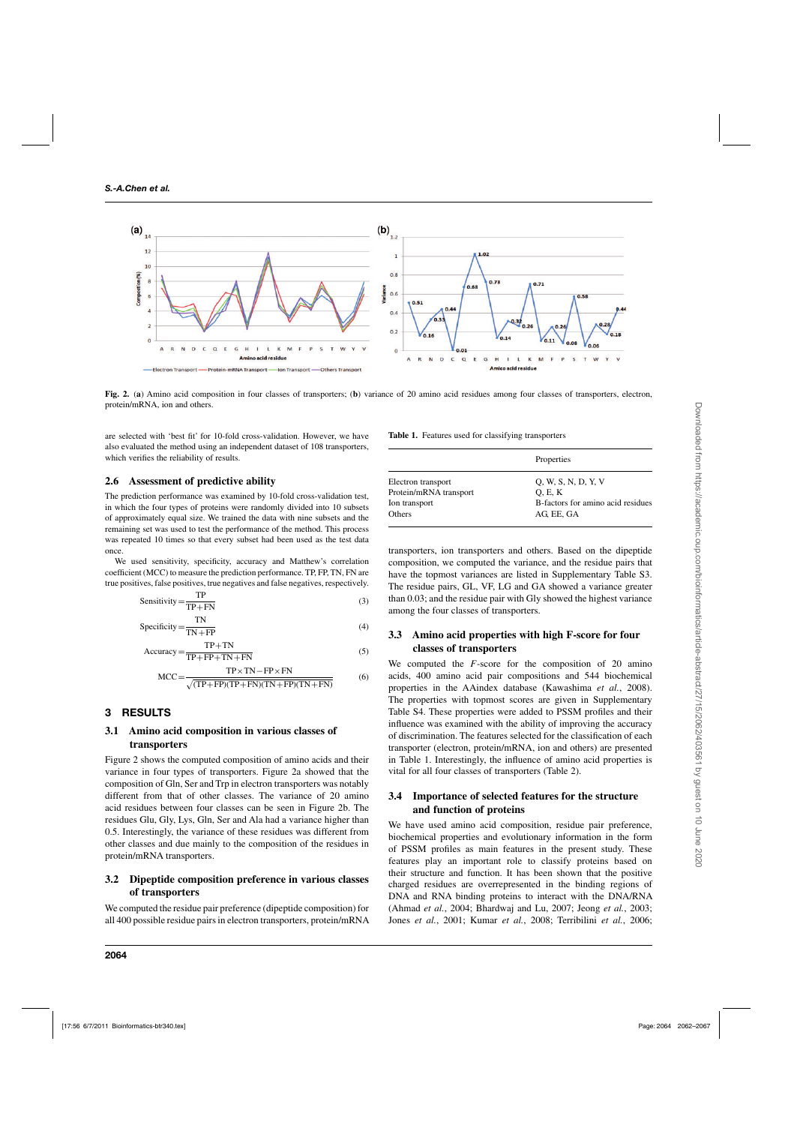

**Fig. 2.** (**a**) Amino acid composition in four classes of transporters; (**b**) variance of 20 amino acid residues among four classes of transporters, electron, protein/mRNA, ion and others.

are selected with 'best fit' for 10-fold cross-validation. However, we have also evaluated the method using an independent dataset of 108 transporters, which verifies the reliability of results.

#### **2.6 Assessment of predictive ability**

The prediction performance was examined by 10-fold cross-validation test, in which the four types of proteins were randomly divided into 10 subsets of approximately equal size. We trained the data with nine subsets and the remaining set was used to test the performance of the method. This process was repeated 10 times so that every subset had been used as the test data once.

We used sensitivity, specificity, accuracy and Matthew's correlation coefficient (MCC) to measure the prediction performance. TP, FP, TN, FN are true positives, false positives, true negatives and false negatives, respectively.

$$
Sensitivity = \frac{TP}{TP + FN}
$$
 (3)

$$
Specificity = \frac{TN}{TN + FP}
$$
 (4)

$$
Accuracy = \frac{TP + TN}{TP + FP + TN + FN}
$$
 (5)

$$
MCC = \frac{TP \times TN - FP \times FN}{\sqrt{(TP + FP)(TP + FN)(TN + FP)(TN + FN)}}
$$
(6)

# **3 RESULTS**

#### **3.1 Amino acid composition in various classes of transporters**

Figure 2 shows the computed composition of amino acids and their variance in four types of transporters. Figure 2a showed that the composition of Gln, Ser and Trp in electron transporters was notably different from that of other classes. The variance of 20 amino acid residues between four classes can be seen in Figure 2b. The residues Glu, Gly, Lys, Gln, Ser and Ala had a variance higher than 0.5. Interestingly, the variance of these residues was different from other classes and due mainly to the composition of the residues in protein/mRNA transporters.

#### **3.2 Dipeptide composition preference in various classes of transporters**

We computed the residue pair preference (dipeptide composition) for all 400 possible residue pairs in electron transporters, protein/mRNA

**Table 1.** Features used for classifying transporters

|                        | Properties                        |  |  |  |  |  |  |
|------------------------|-----------------------------------|--|--|--|--|--|--|
| Electron transport     | 0, W, S, N, D, Y, V               |  |  |  |  |  |  |
| Protein/mRNA transport | O, E, K                           |  |  |  |  |  |  |
| Ion transport          | B-factors for amino acid residues |  |  |  |  |  |  |
| <b>Others</b>          | AG, EE, GA                        |  |  |  |  |  |  |
|                        |                                   |  |  |  |  |  |  |

transporters, ion transporters and others. Based on the dipeptide composition, we computed the variance, and the residue pairs that have the topmost variances are listed in Supplementary Table S3. The residue pairs, GL, VF, LG and GA showed a variance greater than 0.03; and the residue pair with Gly showed the highest variance among the four classes of transporters.

# **3.3 Amino acid properties with high F-score for four classes of transporters**

We computed the *F*-score for the composition of 20 amino acids, 400 amino acid pair compositions and 544 biochemical properties in the AAindex database (Kawashima *et al.*, 2008). The properties with topmost scores are given in Supplementary Table S4. These properties were added to PSSM profiles and their influence was examined with the ability of improving the accuracy of discrimination. The features selected for the classification of each transporter (electron, protein/mRNA, ion and others) are presented in Table 1. Interestingly, the influence of amino acid properties is vital for all four classes of transporters (Table 2).

# **3.4 Importance of selected features for the structure and function of proteins**

We have used amino acid composition, residue pair preference, biochemical properties and evolutionary information in the form of PSSM profiles as main features in the present study. These features play an important role to classify proteins based on their structure and function. It has been shown that the positive charged residues are overrepresented in the binding regions of DNA and RNA binding proteins to interact with the DNA/RNA (Ahmad *et al.*, 2004; Bhardwaj and Lu, 2007; Jeong *et al.*, 2003; Jones *et al.*, 2001; Kumar *et al.*, 2008; Terribilini *et al.*, 2006;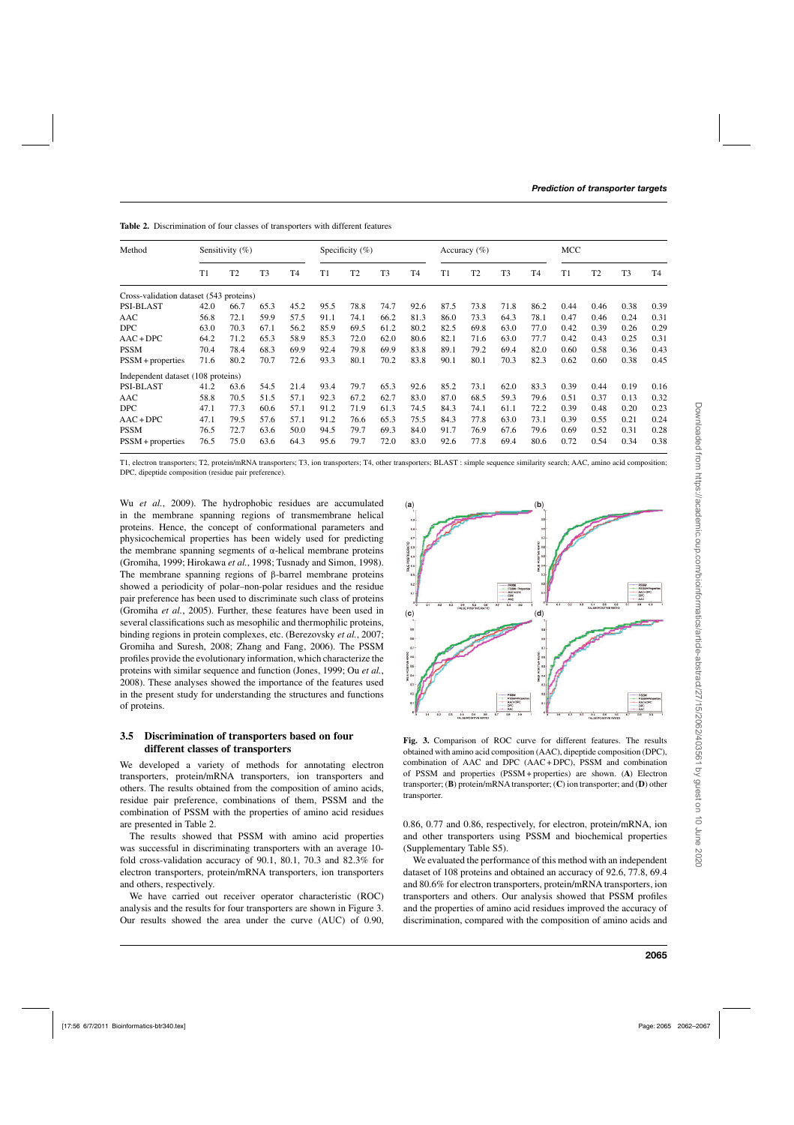| Method                                  | Sensitivity $(\%)$ |                |                |                | Specificity $(\%)$ |                |                |                |      | Accuracy $(\% )$ |                |                | MCC  |                |                |                |  |
|-----------------------------------------|--------------------|----------------|----------------|----------------|--------------------|----------------|----------------|----------------|------|------------------|----------------|----------------|------|----------------|----------------|----------------|--|
|                                         | T1                 | T <sub>2</sub> | T <sub>3</sub> | T <sub>4</sub> | T1                 | T <sub>2</sub> | T <sub>3</sub> | T <sub>4</sub> | T1   | T <sub>2</sub>   | T <sub>3</sub> | T <sub>4</sub> | T1   | T <sub>2</sub> | T <sub>3</sub> | T <sub>4</sub> |  |
| Cross-validation dataset (543 proteins) |                    |                |                |                |                    |                |                |                |      |                  |                |                |      |                |                |                |  |
| <b>PSI-BLAST</b>                        | 42.0               | 66.7           | 65.3           | 45.2           | 95.5               | 78.8           | 74.7           | 92.6           | 87.5 | 73.8             | 71.8           | 86.2           | 0.44 | 0.46           | 0.38           | 0.39           |  |
| AAC                                     | 56.8               | 72.1           | 59.9           | 57.5           | 91.1               | 74.1           | 66.2           | 81.3           | 86.0 | 73.3             | 64.3           | 78.1           | 0.47 | 0.46           | 0.24           | 0.31           |  |
| <b>DPC</b>                              | 63.0               | 70.3           | 67.1           | 56.2           | 85.9               | 69.5           | 61.2           | 80.2           | 82.5 | 69.8             | 63.0           | 77.0           | 0.42 | 0.39           | 0.26           | 0.29           |  |
| $AAC+DPC$                               | 64.2               | 71.2           | 65.3           | 58.9           | 85.3               | 72.0           | 62.0           | 80.6           | 82.1 | 71.6             | 63.0           | 77.7           | 0.42 | 0.43           | 0.25           | 0.31           |  |
| <b>PSSM</b>                             | 70.4               | 78.4           | 68.3           | 69.9           | 92.4               | 79.8           | 69.9           | 83.8           | 89.1 | 79.2             | 69.4           | 82.0           | 0.60 | 0.58           | 0.36           | 0.43           |  |
| $PSSM + properties$                     | 71.6               | 80.2           | 70.7           | 72.6           | 93.3               | 80.1           | 70.2           | 83.8           | 90.1 | 80.1             | 70.3           | 82.3           | 0.62 | 0.60           | 0.38           | 0.45           |  |
| Independent dataset (108 proteins)      |                    |                |                |                |                    |                |                |                |      |                  |                |                |      |                |                |                |  |
| <b>PSI-BLAST</b>                        | 41.2               | 63.6           | 54.5           | 21.4           | 93.4               | 79.7           | 65.3           | 92.6           | 85.2 | 73.1             | 62.0           | 83.3           | 0.39 | 0.44           | 0.19           | 0.16           |  |
| AAC                                     | 58.8               | 70.5           | 51.5           | 57.1           | 92.3               | 67.2           | 62.7           | 83.0           | 87.0 | 68.5             | 59.3           | 79.6           | 0.51 | 0.37           | 0.13           | 0.32           |  |
| <b>DPC</b>                              | 47.1               | 77.3           | 60.6           | 57.1           | 91.2               | 71.9           | 61.3           | 74.5           | 84.3 | 74.1             | 61.1           | 72.2           | 0.39 | 0.48           | 0.20           | 0.23           |  |
| $AAC + DPC$                             | 47.1               | 79.5           | 57.6           | 57.1           | 91.2               | 76.6           | 65.3           | 75.5           | 84.3 | 77.8             | 63.0           | 73.1           | 0.39 | 0.55           | 0.21           | 0.24           |  |
| <b>PSSM</b>                             | 76.5               | 72.7           | 63.6           | 50.0           | 94.5               | 79.7           | 69.3           | 84.0           | 91.7 | 76.9             | 67.6           | 79.6           | 0.69 | 0.52           | 0.31           | 0.28           |  |
| $PSSM + properties$                     | 76.5               | 75.0           | 63.6           | 64.3           | 95.6               | 79.7           | 72.0           | 83.0           | 92.6 | 77.8             | 69.4           | 80.6           | 0.72 | 0.54           | 0.34           | 0.38           |  |

**Table 2.** Discrimination of four classes of transporters with different features

T1, electron transporters; T2, protein/mRNA transporters; T3, ion transporters; T4, other transporters; BLAST : simple sequence similarity search; AAC, amino acid composition; DPC, dipeptide composition (residue pair preference).

Wu *et al.*, 2009). The hydrophobic residues are accumulated in the membrane spanning regions of transmembrane helical proteins. Hence, the concept of conformational parameters and physicochemical properties has been widely used for predicting the membrane spanning segments of α-helical membrane proteins (Gromiha, 1999; Hirokawa *et al.*, 1998; Tusnady and Simon, 1998). The membrane spanning regions of β-barrel membrane proteins showed a periodicity of polar–non-polar residues and the residue pair preference has been used to discriminate such class of proteins (Gromiha *et al.*, 2005). Further, these features have been used in several classifications such as mesophilic and thermophilic proteins, binding regions in protein complexes, etc. (Berezovsky *et al.*, 2007; Gromiha and Suresh, 2008; Zhang and Fang, 2006). The PSSM profiles provide the evolutionary information, which characterize the proteins with similar sequence and function (Jones, 1999; Ou *et al.*, 2008). These analyses showed the importance of the features used in the present study for understanding the structures and functions of proteins.

# **3.5 Discrimination of transporters based on four different classes of transporters**

We developed a variety of methods for annotating electron transporters, protein/mRNA transporters, ion transporters and others. The results obtained from the composition of amino acids, residue pair preference, combinations of them, PSSM and the combination of PSSM with the properties of amino acid residues are presented in Table 2.

The results showed that PSSM with amino acid properties was successful in discriminating transporters with an average 10 fold cross-validation accuracy of 90.1, 80.1, 70.3 and 82.3% for electron transporters, protein/mRNA transporters, ion transporters and others, respectively.

We have carried out receiver operator characteristic (ROC) analysis and the results for four transporters are shown in Figure 3. Our results showed the area under the curve (AUC) of 0.90,



**Fig. 3.** Comparison of ROC curve for different features. The results obtained with amino acid composition (AAC), dipeptide composition (DPC), combination of AAC and DPC (AAC + DPC), PSSM and combination of PSSM and properties (PSSM + properties) are shown. (**A**) Electron transporter; (**B**) protein/mRNAtransporter; (**C**) ion transporter; and (**D**) other transporter.

0.86, 0.77 and 0.86, respectively, for electron, protein/mRNA, ion and other transporters using PSSM and biochemical properties (Supplementary Table S5).

We evaluated the performance of this method with an independent dataset of 108 proteins and obtained an accuracy of 92.6, 77.8, 69.4 and 80.6% for electron transporters, protein/mRNA transporters, ion transporters and others. Our analysis showed that PSSM profiles and the properties of amino acid residues improved the accuracy of discrimination, compared with the composition of amino acids and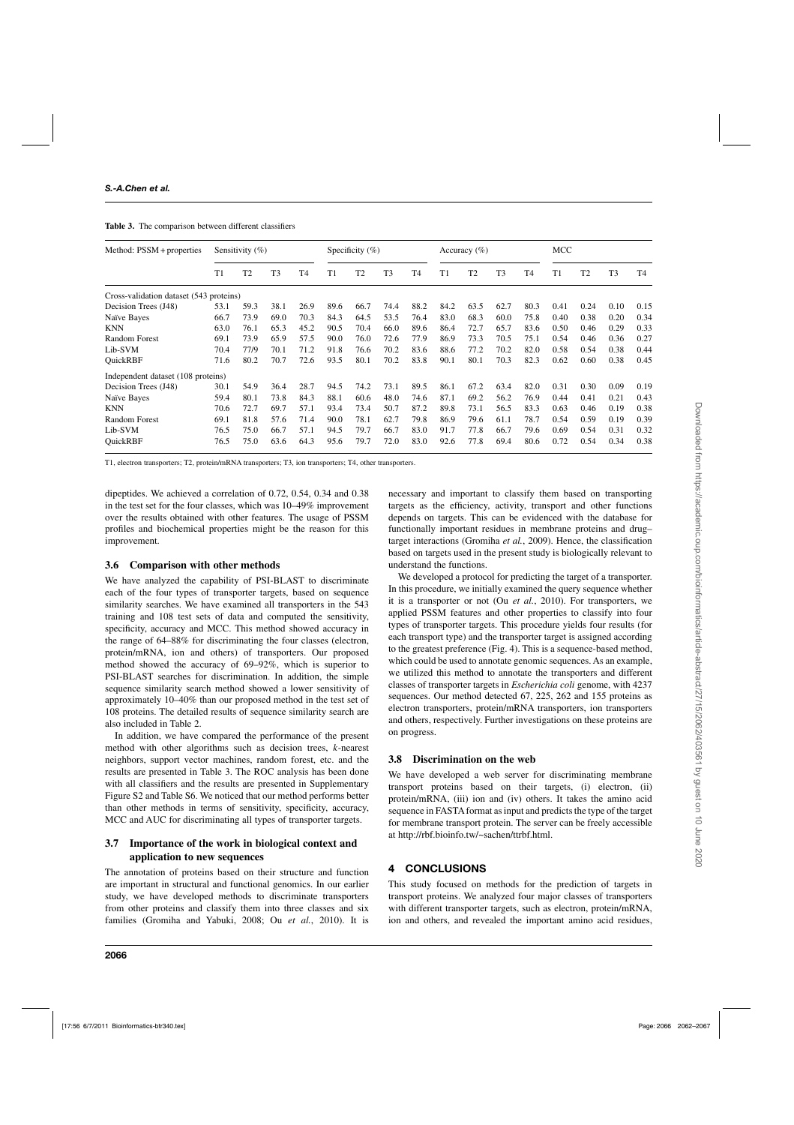**Table 3.** The comparison between different classifiers

| Method: PSSM + properties               | Sensitivity $(\%)$ |                |                |                | Specificity $(\%)$ |                |                |                | Accuracy $(\% )$ |                |                |                | MCC  |                |      |                |
|-----------------------------------------|--------------------|----------------|----------------|----------------|--------------------|----------------|----------------|----------------|------------------|----------------|----------------|----------------|------|----------------|------|----------------|
|                                         | T1                 | T <sub>2</sub> | T <sub>3</sub> | T <sub>4</sub> | T1                 | T <sub>2</sub> | T <sub>3</sub> | T <sub>4</sub> | T1               | T <sub>2</sub> | T <sub>3</sub> | T <sub>4</sub> | T1   | T <sub>2</sub> | T3   | T <sub>4</sub> |
| Cross-validation dataset (543 proteins) |                    |                |                |                |                    |                |                |                |                  |                |                |                |      |                |      |                |
| Decision Trees (J48)                    | 53.1               | 59.3           | 38.1           | 26.9           | 89.6               | 66.7           | 74.4           | 88.2           | 84.2             | 63.5           | 62.7           | 80.3           | 0.41 | 0.24           | 0.10 | 0.15           |
| Naïve Bayes                             | 66.7               | 73.9           | 69.0           | 70.3           | 84.3               | 64.5           | 53.5           | 76.4           | 83.0             | 68.3           | 60.0           | 75.8           | 0.40 | 0.38           | 0.20 | 0.34           |
| KNN                                     | 63.0               | 76.1           | 65.3           | 45.2           | 90.5               | 70.4           | 66.0           | 89.6           | 86.4             | 72.7           | 65.7           | 83.6           | 0.50 | 0.46           | 0.29 | 0.33           |
| <b>Random Forest</b>                    | 69.1               | 73.9           | 65.9           | 57.5           | 90.0               | 76.0           | 72.6           | 77.9           | 86.9             | 73.3           | 70.5           | 75.1           | 0.54 | 0.46           | 0.36 | 0.27           |
| Lib-SVM                                 | 70.4               | 77/9           | 70.1           | 71.2           | 91.8               | 76.6           | 70.2           | 83.6           | 88.6             | 77.2           | 70.2           | 82.0           | 0.58 | 0.54           | 0.38 | 0.44           |
| <b>OuickRBF</b>                         | 71.6               | 80.2           | 70.7           | 72.6           | 93.5               | 80.1           | 70.2           | 83.8           | 90.1             | 80.1           | 70.3           | 82.3           | 0.62 | 0.60           | 0.38 | 0.45           |
| Independent dataset (108 proteins)      |                    |                |                |                |                    |                |                |                |                  |                |                |                |      |                |      |                |
| Decision Trees (J48)                    | 30.1               | 54.9           | 36.4           | 28.7           | 94.5               | 74.2           | 73.1           | 89.5           | 86.1             | 67.2           | 63.4           | 82.0           | 0.31 | 0.30           | 0.09 | 0.19           |
| Naïve Bayes                             | 59.4               | 80.1           | 73.8           | 84.3           | 88.1               | 60.6           | 48.0           | 74.6           | 87.1             | 69.2           | 56.2           | 76.9           | 0.44 | 0.41           | 0.21 | 0.43           |
| <b>KNN</b>                              | 70.6               | 72.7           | 69.7           | 57.1           | 93.4               | 73.4           | 50.7           | 87.2           | 89.8             | 73.1           | 56.5           | 83.3           | 0.63 | 0.46           | 0.19 | 0.38           |
| <b>Random Forest</b>                    | 69.1               | 81.8           | 57.6           | 71.4           | 90.0               | 78.1           | 62.7           | 79.8           | 86.9             | 79.6           | 61.1           | 78.7           | 0.54 | 0.59           | 0.19 | 0.39           |
| Lib-SVM                                 | 76.5               | 75.0           | 66.7           | 57.1           | 94.5               | 79.7           | 66.7           | 83.0           | 91.7             | 77.8           | 66.7           | 79.6           | 0.69 | 0.54           | 0.31 | 0.32           |
| <b>OuickRBF</b>                         | 76.5               | 75.0           | 63.6           | 64.3           | 95.6               | 79.7           | 72.0           | 83.0           | 92.6             | 77.8           | 69.4           | 80.6           | 0.72 | 0.54           | 0.34 | 0.38           |

T1, electron transporters; T2, protein/mRNA transporters; T3, ion transporters; T4, other transporters.

dipeptides. We achieved a correlation of 0.72, 0.54, 0.34 and 0.38 in the test set for the four classes, which was 10–49% improvement over the results obtained with other features. The usage of PSSM profiles and biochemical properties might be the reason for this improvement.

#### **3.6 Comparison with other methods**

We have analyzed the capability of PSI-BLAST to discriminate each of the four types of transporter targets, based on sequence similarity searches. We have examined all transporters in the 543 training and 108 test sets of data and computed the sensitivity, specificity, accuracy and MCC. This method showed accuracy in the range of 64–88% for discriminating the four classes (electron, protein/mRNA, ion and others) of transporters. Our proposed method showed the accuracy of 69–92%, which is superior to PSI-BLAST searches for discrimination. In addition, the simple sequence similarity search method showed a lower sensitivity of approximately 10–40% than our proposed method in the test set of 108 proteins. The detailed results of sequence similarity search are also included in Table 2.

In addition, we have compared the performance of the present method with other algorithms such as decision trees, *k*-nearest neighbors, support vector machines, random forest, etc. and the results are presented in Table 3. The ROC analysis has been done with all classifiers and the results are presented in Supplementary Figure S2 and Table S6. We noticed that our method performs better than other methods in terms of sensitivity, specificity, accuracy, MCC and AUC for discriminating all types of transporter targets.

# **3.7 Importance of the work in biological context and application to new sequences**

The annotation of proteins based on their structure and function are important in structural and functional genomics. In our earlier study, we have developed methods to discriminate transporters from other proteins and classify them into three classes and six families (Gromiha and Yabuki, 2008; Ou *et al.*, 2010). It is

necessary and important to classify them based on transporting targets as the efficiency, activity, transport and other functions depends on targets. This can be evidenced with the database for functionally important residues in membrane proteins and drug– target interactions (Gromiha *et al.*, 2009). Hence, the classification based on targets used in the present study is biologically relevant to understand the functions.

We developed a protocol for predicting the target of a transporter. In this procedure, we initially examined the query sequence whether it is a transporter or not (Ou *et al.*, 2010). For transporters, we applied PSSM features and other properties to classify into four types of transporter targets. This procedure yields four results (for each transport type) and the transporter target is assigned according to the greatest preference (Fig. 4). This is a sequence-based method, which could be used to annotate genomic sequences. As an example, we utilized this method to annotate the transporters and different classes of transporter targets in *Escherichia coli* genome, with 4237 sequences. Our method detected 67, 225, 262 and 155 proteins as electron transporters, protein/mRNA transporters, ion transporters and others, respectively. Further investigations on these proteins are on progress.

# **3.8 Discrimination on the web**

We have developed a web server for discriminating membrane transport proteins based on their targets, (i) electron, (ii) protein/mRNA, (iii) ion and (iv) others. It takes the amino acid sequence in FASTA format as input and predicts the type of the target for membrane transport protein. The server can be freely accessible at http://rbf.bioinfo.tw/~sachen/ttrbf.html.

# **4 CONCLUSIONS**

This study focused on methods for the prediction of targets in transport proteins. We analyzed four major classes of transporters with different transporter targets, such as electron, protein/mRNA, ion and others, and revealed the important amino acid residues,